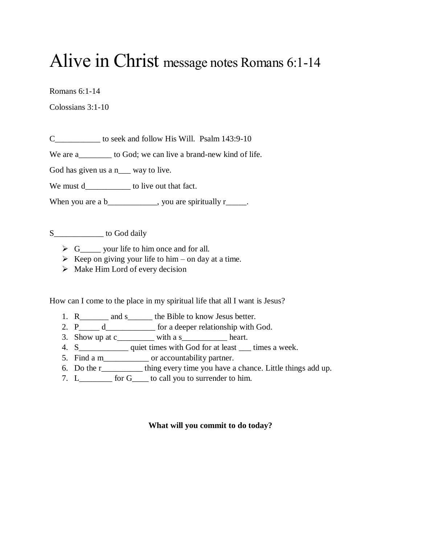## Alive in Christ message notes Romans 6:1-14

Romans 6:1-14

Colossians 3:1-10

C\_\_\_\_\_\_\_\_\_\_\_ to seek and follow His Will. Psalm 143:9-10

We are a\_\_\_\_\_\_\_\_ to God; we can live a brand-new kind of life.

God has given us a n\_\_\_ way to live.

We must d\_\_\_\_\_\_\_\_\_\_\_\_\_ to live out that fact.

When you are a b\_\_\_\_\_\_\_\_\_\_, you are spiritually  $r_{\_\_\_\_}$ .

S\_\_\_\_\_\_\_\_\_\_\_\_ to God daily

- $\triangleright$  G\_\_\_\_\_\_ your life to him once and for all.
- $\triangleright$  Keep on giving your life to him on day at a time.
- $\triangleright$  Make Him Lord of every decision

How can I come to the place in my spiritual life that all I want is Jesus?

- 1. R\_\_\_\_\_\_\_\_\_ and s\_\_\_\_\_\_\_\_ the Bible to know Jesus better.
- 2. P\_\_\_\_\_ d\_\_\_\_\_\_\_\_\_\_\_\_ for a deeper relationship with God.
- 3. Show up at  $c_$  with a s\_\_\_\_\_\_\_\_\_ heart.
- 4. S\_\_\_\_\_\_\_\_\_\_\_\_\_\_\_ quiet times with God for at least \_\_\_\_ times a week.
- 5. Find a m\_\_\_\_\_\_\_\_\_\_\_ or accountability partner.
- 6. Do the r\_\_\_\_\_\_\_\_\_\_ thing every time you have a chance. Little things add up.
- 7. L\_\_\_\_\_\_\_\_ for G\_\_\_\_ to call you to surrender to him.

## **What will you commit to do today?**